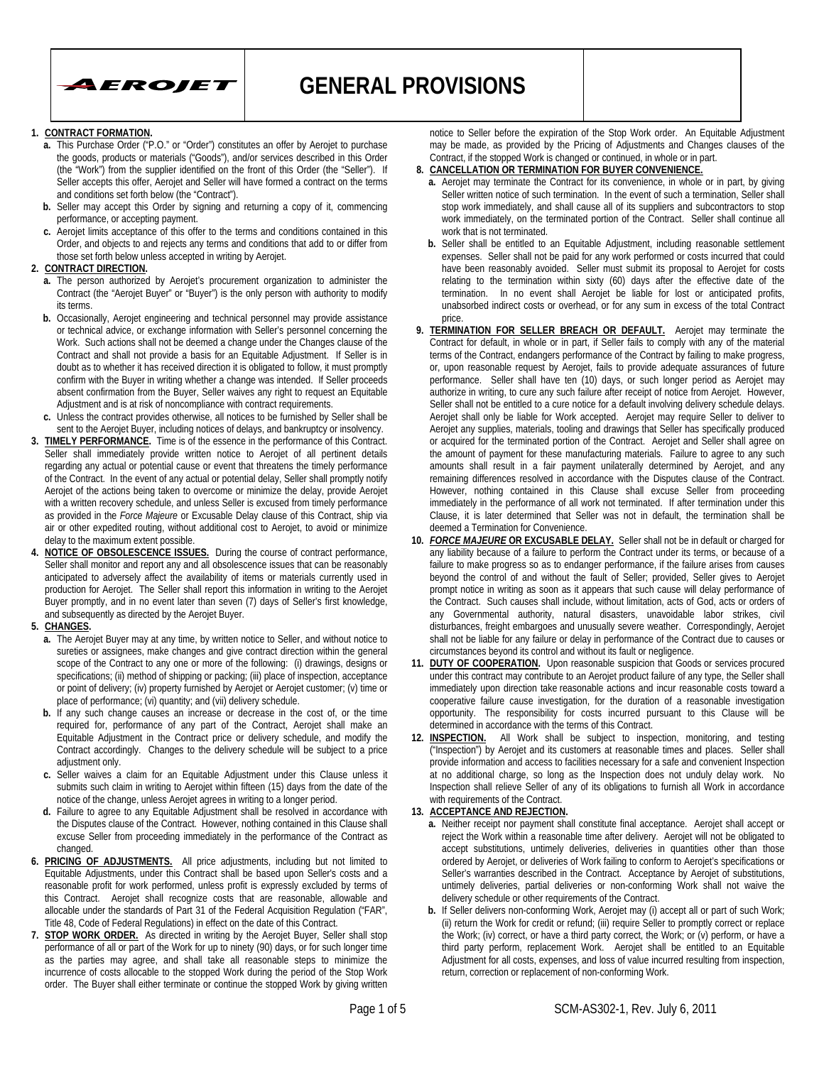

#### **1. CONTRACT FORMATION.**

- **a.** This Purchase Order ("P.O." or "Order") constitutes an offer by Aerojet to purchase the goods, products or materials ("Goods"), and/or services described in this Order (the "Work") from the supplier identified on the front of this Order (the "Seller"). If Seller accepts this offer, Aerojet and Seller will have formed a contract on the terms and conditions set forth below (the "Contract").
- **b.** Seller may accept this Order by signing and returning a copy of it, commencing performance, or accepting payment.
- **c.** Aerojet limits acceptance of this offer to the terms and conditions contained in this Order, and objects to and rejects any terms and conditions that add to or differ from those set forth below unless accepted in writing by Aerojet.
- **2. CONTRACT DIRECTION.**
	- **a.** The person authorized by Aerojet's procurement organization to administer the Contract (the "Aerojet Buyer" or "Buyer") is the only person with authority to modify its terms.
	- **b.** Occasionally, Aerojet engineering and technical personnel may provide assistance or technical advice, or exchange information with Seller's personnel concerning the Work. Such actions shall not be deemed a change under the Changes clause of the Contract and shall not provide a basis for an Equitable Adjustment. If Seller is in doubt as to whether it has received direction it is obligated to follow, it must promptly confirm with the Buyer in writing whether a change was intended. If Seller proceeds absent confirmation from the Buyer, Seller waives any right to request an Equitable Adjustment and is at risk of noncompliance with contract requirements.
- **c.** Unless the contract provides otherwise, all notices to be furnished by Seller shall be sent to the Aerojet Buyer, including notices of delays, and bankruptcy or insolvency.
- **3. TIMELY PERFORMANCE.** Time is of the essence in the performance of this Contract. Seller shall immediately provide written notice to Aerojet of all pertinent details regarding any actual or potential cause or event that threatens the timely performance of the Contract. In the event of any actual or potential delay, Seller shall promptly notify Aerojet of the actions being taken to overcome or minimize the delay, provide Aerojet with a written recovery schedule, and unless Seller is excused from timely performance as provided in the *Force Majeure* or Excusable Delay clause of this Contract, ship via air or other expedited routing, without additional cost to Aerojet, to avoid or minimize delay to the maximum extent possible.
- **4. NOTICE OF OBSOLESCENCE ISSUES.** During the course of contract performance, Seller shall monitor and report any and all obsolescence issues that can be reasonably anticipated to adversely affect the availability of items or materials currently used in production for Aerojet. The Seller shall report this information in writing to the Aerojet Buyer promptly, and in no event later than seven (7) days of Seller's first knowledge, and subsequently as directed by the Aerojet Buyer.
- **5. CHANGES.**
	- **a.** The Aerojet Buyer may at any time, by written notice to Seller, and without notice to sureties or assignees, make changes and give contract direction within the general scope of the Contract to any one or more of the following: (i) drawings, designs or specifications; (ii) method of shipping or packing; (iii) place of inspection, acceptance or point of delivery; (iv) property furnished by Aerojet or Aerojet customer; (v) time or place of performance; (vi) quantity; and (vii) delivery schedule.
	- **b.** If any such change causes an increase or decrease in the cost of, or the time required for, performance of any part of the Contract, Aerojet shall make an Equitable Adjustment in the Contract price or delivery schedule, and modify the Contract accordingly. Changes to the delivery schedule will be subject to a price adjustment only.
	- **c.** Seller waives a claim for an Equitable Adjustment under this Clause unless it submits such claim in writing to Aerojet within fifteen (15) days from the date of the notice of the change, unless Aerojet agrees in writing to a longer period.
	- **d.** Failure to agree to any Equitable Adjustment shall be resolved in accordance with the Disputes clause of the Contract. However, nothing contained in this Clause shall excuse Seller from proceeding immediately in the performance of the Contract as changed.
- **6. PRICING OF ADJUSTMENTS.** All price adjustments, including but not limited to Equitable Adjustments, under this Contract shall be based upon Seller's costs and a reasonable profit for work performed, unless profit is expressly excluded by terms of this Contract. Aerojet shall recognize costs that are reasonable, allowable and allocable under the standards of Part 31 of the Federal Acquisition Regulation ("FAR", Title 48, Code of Federal Regulations) in effect on the date of this Contract.
- **7. STOP WORK ORDER.** As directed in writing by the Aerojet Buyer, Seller shall stop performance of all or part of the Work for up to ninety (90) days, or for such longer time as the parties may agree, and shall take all reasonable steps to minimize the incurrence of costs allocable to the stopped Work during the period of the Stop Work order. The Buyer shall either terminate or continue the stopped Work by giving written

notice to Seller before the expiration of the Stop Work order. An Equitable Adjustment may be made, as provided by the Pricing of Adjustments and Changes clauses of the Contract, if the stopped Work is changed or continued, in whole or in part.

- **8. CANCELLATION OR TERMINATION FOR BUYER CONVENIENCE.**
- **a.** Aerojet may terminate the Contract for its convenience, in whole or in part, by giving Seller written notice of such termination. In the event of such a termination, Seller shall stop work immediately, and shall cause all of its suppliers and subcontractors to stop work immediately, on the terminated portion of the Contract. Seller shall continue all work that is not terminated.
- **b.** Seller shall be entitled to an Equitable Adjustment, including reasonable settlement expenses. Seller shall not be paid for any work performed or costs incurred that could have been reasonably avoided. Seller must submit its proposal to Aerojet for costs relating to the termination within sixty (60) days after the effective date of the termination. In no event shall Aerojet be liable for lost or anticipated profits, unabsorbed indirect costs or overhead, or for any sum in excess of the total Contract price.
- **9. TERMINATION FOR SELLER BREACH OR DEFAULT.** Aerojet may terminate the Contract for default, in whole or in part, if Seller fails to comply with any of the material terms of the Contract, endangers performance of the Contract by failing to make progress, or, upon reasonable request by Aerojet, fails to provide adequate assurances of future performance. Seller shall have ten (10) days, or such longer period as Aerojet may authorize in writing, to cure any such failure after receipt of notice from Aerojet. However, Seller shall not be entitled to a cure notice for a default involving delivery schedule delays. Aerojet shall only be liable for Work accepted. Aerojet may require Seller to deliver to Aerojet any supplies, materials, tooling and drawings that Seller has specifically produced or acquired for the terminated portion of the Contract. Aerojet and Seller shall agree on the amount of payment for these manufacturing materials. Failure to agree to any such amounts shall result in a fair payment unilaterally determined by Aerojet, and any remaining differences resolved in accordance with the Disputes clause of the Contract. However, nothing contained in this Clause shall excuse Seller from proceeding immediately in the performance of all work not terminated. If after termination under this Clause, it is later determined that Seller was not in default, the termination shall be deemed a Termination for Convenience.
- **10.** *FORCE MAJEURE* **OR EXCUSABLE DELAY.** Seller shall not be in default or charged for any liability because of a failure to perform the Contract under its terms, or because of a failure to make progress so as to endanger performance, if the failure arises from causes beyond the control of and without the fault of Seller; provided, Seller gives to Aerojet prompt notice in writing as soon as it appears that such cause will delay performance of the Contract. Such causes shall include, without limitation, acts of God, acts or orders of any Governmental authority, natural disasters, unavoidable labor strikes, civil disturbances, freight embargoes and unusually severe weather. Correspondingly, Aerojet shall not be liable for any failure or delay in performance of the Contract due to causes or circumstances beyond its control and without its fault or negligence.
- **11. DUTY OF COOPERATION.** Upon reasonable suspicion that Goods or services procured under this contract may contribute to an Aerojet product failure of any type, the Seller shall immediately upon direction take reasonable actions and incur reasonable costs toward a cooperative failure cause investigation, for the duration of a reasonable investigation opportunity. The responsibility for costs incurred pursuant to this Clause will be determined in accordance with the terms of this Contract.
- **12. INSPECTION.** All Work shall be subject to inspection, monitoring, and testing ("Inspection") by Aerojet and its customers at reasonable times and places. Seller shall provide information and access to facilities necessary for a safe and convenient Inspection at no additional charge, so long as the Inspection does not unduly delay work. No Inspection shall relieve Seller of any of its obligations to furnish all Work in accordance with requirements of the Contract.
- **13. ACCEPTANCE AND REJECTION.**
	- **a.** Neither receipt nor payment shall constitute final acceptance. Aerojet shall accept or reject the Work within a reasonable time after delivery. Aerojet will not be obligated to accept substitutions, untimely deliveries, deliveries in quantities other than those ordered by Aerojet, or deliveries of Work failing to conform to Aerojet's specifications or Seller's warranties described in the Contract. Acceptance by Aerojet of substitutions, untimely deliveries, partial deliveries or non-conforming Work shall not waive the delivery schedule or other requirements of the Contract.
	- **b.** If Seller delivers non-conforming Work, Aerojet may (i) accept all or part of such Work; (ii) return the Work for credit or refund; (iii) require Seller to promptly correct or replace the Work; (iv) correct, or have a third party correct, the Work; or (v) perform, or have a third party perform, replacement Work. Aerojet shall be entitled to an Equitable Adjustment for all costs, expenses, and loss of value incurred resulting from inspection, return, correction or replacement of non-conforming Work.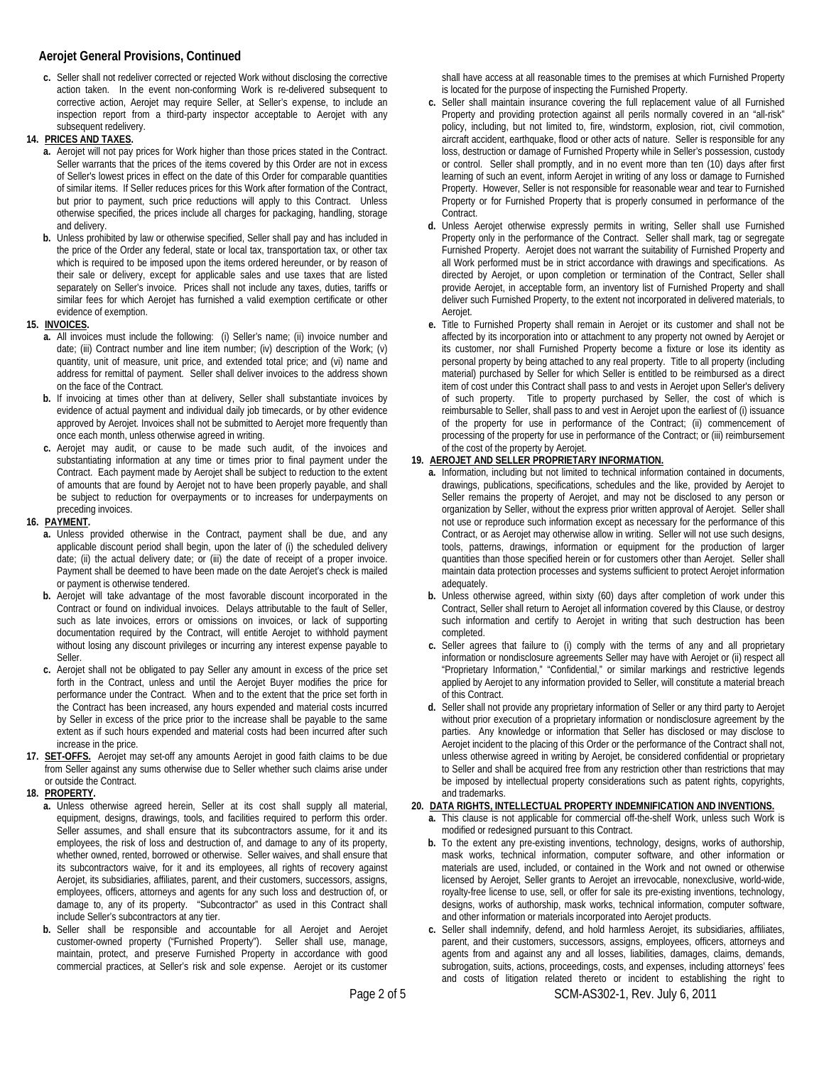## **Aerojet General Provisions, Continued**

- **c.** Seller shall not redeliver corrected or rejected Work without disclosing the corrective action taken. In the event non-conforming Work is re-delivered subsequent to corrective action, Aerojet may require Seller, at Seller's expense, to include an inspection report from a third-party inspector acceptable to Aerojet with any subsequent redelivery.
- **14. PRICES AND TAXES.**
	- **a.** Aerojet will not pay prices for Work higher than those prices stated in the Contract. Seller warrants that the prices of the items covered by this Order are not in excess of Seller's lowest prices in effect on the date of this Order for comparable quantities of similar items. If Seller reduces prices for this Work after formation of the Contract, but prior to payment, such price reductions will apply to this Contract. Unless otherwise specified, the prices include all charges for packaging, handling, storage and delivery.
	- **b.** Unless prohibited by law or otherwise specified, Seller shall pay and has included in the price of the Order any federal, state or local tax, transportation tax, or other tax which is required to be imposed upon the items ordered hereunder, or by reason of their sale or delivery, except for applicable sales and use taxes that are listed separately on Seller's invoice. Prices shall not include any taxes, duties, tariffs or similar fees for which Aerojet has furnished a valid exemption certificate or other evidence of exemption.
- **15. INVOICES.**
	- **a.** All invoices must include the following: (i) Seller's name; (ii) invoice number and date; (iii) Contract number and line item number; (iv) description of the Work; (v) quantity, unit of measure, unit price, and extended total price; and (vi) name and address for remittal of payment. Seller shall deliver invoices to the address shown on the face of the Contract.
	- **b.** If invoicing at times other than at delivery, Seller shall substantiate invoices by evidence of actual payment and individual daily job timecards, or by other evidence approved by Aerojet. Invoices shall not be submitted to Aerojet more frequently than once each month, unless otherwise agreed in writing.
	- **c.** Aerojet may audit, or cause to be made such audit, of the invoices and substantiating information at any time or times prior to final payment under the Contract. Each payment made by Aerojet shall be subject to reduction to the extent of amounts that are found by Aerojet not to have been properly payable, and shall be subject to reduction for overpayments or to increases for underpayments on preceding invoices.
- **16. PAYMENT.**
	- **a.** Unless provided otherwise in the Contract, payment shall be due, and any applicable discount period shall begin, upon the later of (i) the scheduled delivery date; (ii) the actual delivery date; or (iii) the date of receipt of a proper invoice. Payment shall be deemed to have been made on the date Aerojet's check is mailed or payment is otherwise tendered.
	- **b.** Aerojet will take advantage of the most favorable discount incorporated in the Contract or found on individual invoices. Delays attributable to the fault of Seller, such as late invoices, errors or omissions on invoices, or lack of supporting documentation required by the Contract, will entitle Aerojet to withhold payment without losing any discount privileges or incurring any interest expense payable to Seller.
	- **c.** Aerojet shall not be obligated to pay Seller any amount in excess of the price set forth in the Contract, unless and until the Aerojet Buyer modifies the price for performance under the Contract. When and to the extent that the price set forth in the Contract has been increased, any hours expended and material costs incurred by Seller in excess of the price prior to the increase shall be payable to the same extent as if such hours expended and material costs had been incurred after such increase in the price.
- **17. SET-OFFS.** Aerojet may set-off any amounts Aerojet in good faith claims to be due from Seller against any sums otherwise due to Seller whether such claims arise under or outside the Contract.
- **18. PROPERTY.**
	- **a.** Unless otherwise agreed herein, Seller at its cost shall supply all material, equipment, designs, drawings, tools, and facilities required to perform this order. Seller assumes, and shall ensure that its subcontractors assume, for it and its employees, the risk of loss and destruction of, and damage to any of its property, whether owned, rented, borrowed or otherwise. Seller waives, and shall ensure that its subcontractors waive, for it and its employees, all rights of recovery against Aerojet, its subsidiaries, affiliates, parent, and their customers, successors, assigns, employees, officers, attorneys and agents for any such loss and destruction of, or damage to, any of its property. "Subcontractor" as used in this Contract shall include Seller's subcontractors at any tier.
	- **b.** Seller shall be responsible and accountable for all Aerojet and Aerojet customer-owned property ("Furnished Property"). Seller shall use, manage, maintain, protect, and preserve Furnished Property in accordance with good commercial practices, at Seller's risk and sole expense. Aerojet or its customer

shall have access at all reasonable times to the premises at which Furnished Property is located for the purpose of inspecting the Furnished Property.

- **c.** Seller shall maintain insurance covering the full replacement value of all Furnished Property and providing protection against all perils normally covered in an "all-risk" policy, including, but not limited to, fire, windstorm, explosion, riot, civil commotion, aircraft accident, earthquake, flood or other acts of nature. Seller is responsible for any loss, destruction or damage of Furnished Property while in Seller's possession, custody or control. Seller shall promptly, and in no event more than ten (10) days after first learning of such an event, inform Aerojet in writing of any loss or damage to Furnished Property. However, Seller is not responsible for reasonable wear and tear to Furnished Property or for Furnished Property that is properly consumed in performance of the Contract.
- **d.** Unless Aerojet otherwise expressly permits in writing, Seller shall use Furnished Property only in the performance of the Contract. Seller shall mark, tag or segregate Furnished Property. Aerojet does not warrant the suitability of Furnished Property and all Work performed must be in strict accordance with drawings and specifications. As directed by Aerojet, or upon completion or termination of the Contract, Seller shall provide Aerojet, in acceptable form, an inventory list of Furnished Property and shall deliver such Furnished Property, to the extent not incorporated in delivered materials, to Aerojet.
- **e.** Title to Furnished Property shall remain in Aerojet or its customer and shall not be affected by its incorporation into or attachment to any property not owned by Aerojet or its customer, nor shall Furnished Property become a fixture or lose its identity as personal property by being attached to any real property. Title to all property (including material) purchased by Seller for which Seller is entitled to be reimbursed as a direct item of cost under this Contract shall pass to and vests in Aerojet upon Seller's delivery of such property. Title to property purchased by Seller, the cost of which is reimbursable to Seller, shall pass to and vest in Aerojet upon the earliest of (i) issuance of the property for use in performance of the Contract; (ii) commencement of processing of the property for use in performance of the Contract; or (iii) reimbursement of the cost of the property by Aerojet.

# **19. AEROJET AND SELLER PROPRIETARY INFORMATION.**

- **a.** Information, including but not limited to technical information contained in documents, drawings, publications, specifications, schedules and the like, provided by Aerojet to Seller remains the property of Aerojet, and may not be disclosed to any person or organization by Seller, without the express prior written approval of Aerojet. Seller shall not use or reproduce such information except as necessary for the performance of this Contract, or as Aerojet may otherwise allow in writing. Seller will not use such designs, tools, patterns, drawings, information or equipment for the production of larger quantities than those specified herein or for customers other than Aerojet. Seller shall maintain data protection processes and systems sufficient to protect Aerojet information adequately.
- **b.** Unless otherwise agreed, within sixty (60) days after completion of work under this Contract, Seller shall return to Aerojet all information covered by this Clause, or destroy such information and certify to Aerojet in writing that such destruction has been completed.
- **c.** Seller agrees that failure to (i) comply with the terms of any and all proprietary information or nondisclosure agreements Seller may have with Aerojet or (ii) respect all "Proprietary Information," "Confidential," or similar markings and restrictive legends applied by Aerojet to any information provided to Seller, will constitute a material breach of this Contract.
- **d.** Seller shall not provide any proprietary information of Seller or any third party to Aerojet without prior execution of a proprietary information or nondisclosure agreement by the parties. Any knowledge or information that Seller has disclosed or may disclose to Aerojet incident to the placing of this Order or the performance of the Contract shall not, unless otherwise agreed in writing by Aerojet, be considered confidential or proprietary to Seller and shall be acquired free from any restriction other than restrictions that may be imposed by intellectual property considerations such as patent rights, copyrights, and trademarks.

# **20. DATA RIGHTS, INTELLECTUAL PROPERTY INDEMNIFICATION AND INVENTIONS.**

- **a.** This clause is not applicable for commercial off-the-shelf Work, unless such Work is modified or redesigned pursuant to this Contract.
- **b.** To the extent any pre-existing inventions, technology, designs, works of authorship, mask works, technical information, computer software, and other information or materials are used, included, or contained in the Work and not owned or otherwise licensed by Aerojet, Seller grants to Aerojet an irrevocable, nonexclusive, world-wide, royalty-free license to use, sell, or offer for sale its pre-existing inventions, technology, designs, works of authorship, mask works, technical information, computer software, and other information or materials incorporated into Aerojet products.
- **c.** Seller shall indemnify, defend, and hold harmless Aerojet, its subsidiaries, affiliates, parent, and their customers, successors, assigns, employees, officers, attorneys and agents from and against any and all losses, liabilities, damages, claims, demands, subrogation, suits, actions, proceedings, costs, and expenses, including attorneys' fees and costs of litigation related thereto or incident to establishing the right to

Page 2 of 5 SCM-AS302-1, Rev. July 6, 2011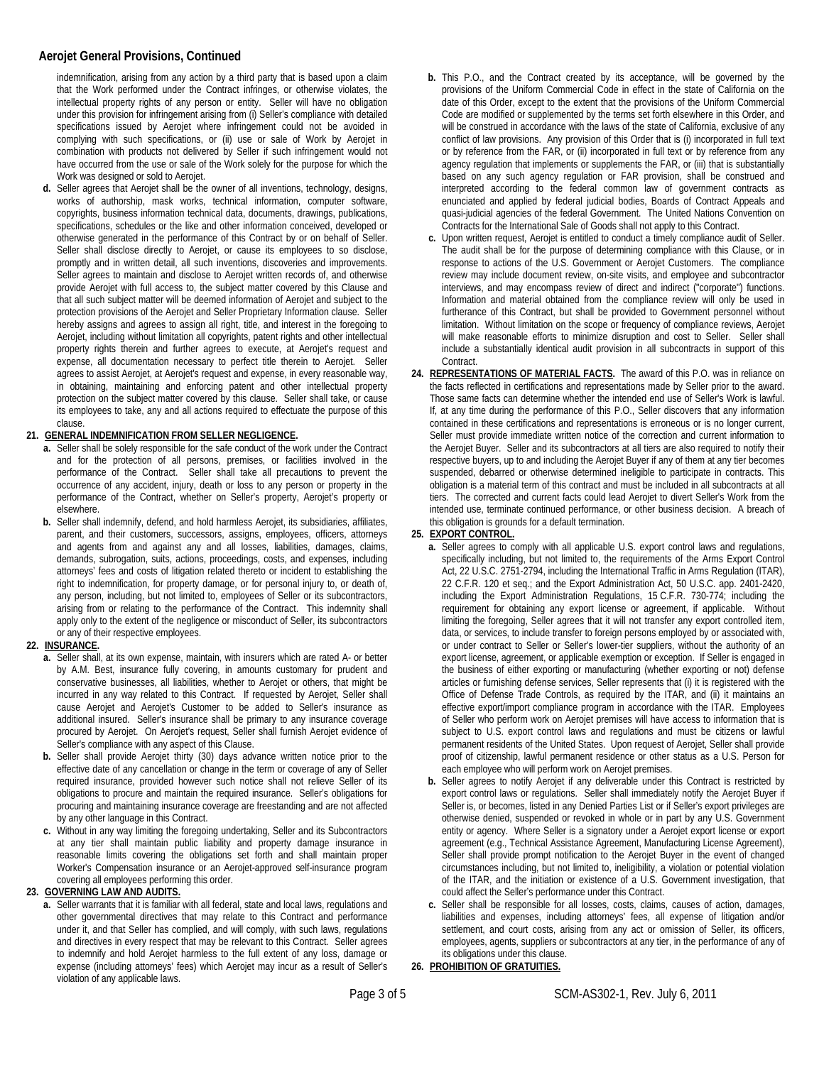## **Aerojet General Provisions, Continued**

indemnification, arising from any action by a third party that is based upon a claim that the Work performed under the Contract infringes, or otherwise violates, the intellectual property rights of any person or entity. Seller will have no obligation under this provision for infringement arising from (i) Seller's compliance with detailed specifications issued by Aerojet where infringement could not be avoided in complying with such specifications, or (ii) use or sale of Work by Aerojet in combination with products not delivered by Seller if such infringement would not have occurred from the use or sale of the Work solely for the purpose for which the Work was designed or sold to Aerojet.

**d.** Seller agrees that Aerojet shall be the owner of all inventions, technology, designs, works of authorship, mask works, technical information, computer software, copyrights, business information technical data, documents, drawings, publications, specifications, schedules or the like and other information conceived, developed or otherwise generated in the performance of this Contract by or on behalf of Seller. Seller shall disclose directly to Aerojet, or cause its employees to so disclose, promptly and in written detail, all such inventions, discoveries and improvements. Seller agrees to maintain and disclose to Aerojet written records of, and otherwise provide Aerojet with full access to, the subject matter covered by this Clause and that all such subject matter will be deemed information of Aerojet and subject to the protection provisions of the Aerojet and Seller Proprietary Information clause. Seller hereby assigns and agrees to assign all right, title, and interest in the foregoing to Aerojet, including without limitation all copyrights, patent rights and other intellectual property rights therein and further agrees to execute, at Aerojet's request and expense, all documentation necessary to perfect title therein to Aerojet. Seller agrees to assist Aerojet, at Aerojet's request and expense, in every reasonable way, in obtaining, maintaining and enforcing patent and other intellectual property protection on the subject matter covered by this clause. Seller shall take, or cause its employees to take, any and all actions required to effectuate the purpose of this clause.

#### **21. GENERAL INDEMNIFICATION FROM SELLER NEGLIGENCE.**

- **a.** Seller shall be solely responsible for the safe conduct of the work under the Contract and for the protection of all persons, premises, or facilities involved in the performance of the Contract. Seller shall take all precautions to prevent the occurrence of any accident, injury, death or loss to any person or property in the performance of the Contract, whether on Seller's property, Aerojet's property or elsewhere.
- **b.** Seller shall indemnify, defend, and hold harmless Aerojet, its subsidiaries, affiliates, parent, and their customers, successors, assigns, employees, officers, attorneys and agents from and against any and all losses, liabilities, damages, claims, demands, subrogation, suits, actions, proceedings, costs, and expenses, including attorneys' fees and costs of litigation related thereto or incident to establishing the right to indemnification, for property damage, or for personal injury to, or death of, any person, including, but not limited to, employees of Seller or its subcontractors, arising from or relating to the performance of the Contract. This indemnity shall apply only to the extent of the negligence or misconduct of Seller, its subcontractors or any of their respective employees.
- **22. INSURANCE.**
	- **a.** Seller shall, at its own expense, maintain, with insurers which are rated A- or better by A.M. Best, insurance fully covering, in amounts customary for prudent and conservative businesses, all liabilities, whether to Aerojet or others, that might be incurred in any way related to this Contract. If requested by Aerojet, Seller shall cause Aerojet and Aerojet's Customer to be added to Seller's insurance as additional insured. Seller's insurance shall be primary to any insurance coverage procured by Aerojet. On Aerojet's request, Seller shall furnish Aerojet evidence of Seller's compliance with any aspect of this Clause.
	- **b.** Seller shall provide Aerojet thirty (30) days advance written notice prior to the effective date of any cancellation or change in the term or coverage of any of Seller required insurance, provided however such notice shall not relieve Seller of its obligations to procure and maintain the required insurance. Seller's obligations for procuring and maintaining insurance coverage are freestanding and are not affected by any other language in this Contract.
	- **c.** Without in any way limiting the foregoing undertaking, Seller and its Subcontractors at any tier shall maintain public liability and property damage insurance in reasonable limits covering the obligations set forth and shall maintain proper Worker's Compensation insurance or an Aerojet-approved self-insurance program covering all employees performing this order.
- **23. GOVERNING LAW AND AUDITS.**
	- **a.** Seller warrants that it is familiar with all federal, state and local laws, regulations and other governmental directives that may relate to this Contract and performance under it, and that Seller has complied, and will comply, with such laws, regulations and directives in every respect that may be relevant to this Contract. Seller agrees to indemnify and hold Aerojet harmless to the full extent of any loss, damage or expense (including attorneys' fees) which Aerojet may incur as a result of Seller's violation of any applicable laws.
- **b.** This P.O., and the Contract created by its acceptance, will be governed by the provisions of the Uniform Commercial Code in effect in the state of California on the date of this Order, except to the extent that the provisions of the Uniform Commercial Code are modified or supplemented by the terms set forth elsewhere in this Order, and will be construed in accordance with the laws of the state of California, exclusive of any conflict of law provisions. Any provision of this Order that is (i) incorporated in full text or by reference from the FAR, or (ii) incorporated in full text or by reference from any agency regulation that implements or supplements the FAR, or (iii) that is substantially based on any such agency regulation or FAR provision, shall be construed and interpreted according to the federal common law of government contracts as enunciated and applied by federal judicial bodies, Boards of Contract Appeals and quasi-judicial agencies of the federal Government. The United Nations Convention on Contracts for the International Sale of Goods shall not apply to this Contract.
- **c.** Upon written request, Aerojet is entitled to conduct a timely compliance audit of Seller. The audit shall be for the purpose of determining compliance with this Clause, or in response to actions of the U.S. Government or Aerojet Customers. The compliance review may include document review, on-site visits, and employee and subcontractor interviews, and may encompass review of direct and indirect ("corporate") functions. Information and material obtained from the compliance review will only be used in furtherance of this Contract, but shall be provided to Government personnel without limitation. Without limitation on the scope or frequency of compliance reviews, Aerojet will make reasonable efforts to minimize disruption and cost to Seller. Seller shall include a substantially identical audit provision in all subcontracts in support of this Contract.
- **24. REPRESENTATIONS OF MATERIAL FACTS.** The award of this P.O. was in reliance on the facts reflected in certifications and representations made by Seller prior to the award. Those same facts can determine whether the intended end use of Seller's Work is lawful. If, at any time during the performance of this P.O., Seller discovers that any information contained in these certifications and representations is erroneous or is no longer current, Seller must provide immediate written notice of the correction and current information to the Aerojet Buyer. Seller and its subcontractors at all tiers are also required to notify their respective buyers, up to and including the Aerojet Buyer if any of them at any tier becomes suspended, debarred or otherwise determined ineligible to participate in contracts. This obligation is a material term of this contract and must be included in all subcontracts at all tiers. The corrected and current facts could lead Aerojet to divert Seller's Work from the intended use, terminate continued performance, or other business decision. A breach of this obligation is grounds for a default termination.
- **25. EXPORT CONTROL.**
	- **a.** Seller agrees to comply with all applicable U.S. export control laws and regulations, specifically including, but not limited to, the requirements of the Arms Export Control Act, 22 U.S.C. 2751-2794, including the International Traffic in Arms Regulation (ITAR), 22 C.F.R. 120 et seq.; and the Export Administration Act, 50 U.S.C. app. 2401-2420, including the Export Administration Regulations, 15 C.F.R. 730-774; including the requirement for obtaining any export license or agreement, if applicable. Without limiting the foregoing, Seller agrees that it will not transfer any export controlled item, data, or services, to include transfer to foreign persons employed by or associated with, or under contract to Seller or Seller's lower-tier suppliers, without the authority of an export license, agreement, or applicable exemption or exception. If Seller is engaged in the business of either exporting or manufacturing (whether exporting or not) defense articles or furnishing defense services, Seller represents that (i) it is registered with the Office of Defense Trade Controls, as required by the ITAR, and (ii) it maintains an effective export/import compliance program in accordance with the ITAR. Employees of Seller who perform work on Aerojet premises will have access to information that is subject to U.S. export control laws and regulations and must be citizens or lawful permanent residents of the United States. Upon request of Aerojet, Seller shall provide proof of citizenship, lawful permanent residence or other status as a U.S. Person for each employee who will perform work on Aerojet premises.
	- **b.** Seller agrees to notify Aerojet if any deliverable under this Contract is restricted by export control laws or regulations. Seller shall immediately notify the Aerojet Buyer if Seller is, or becomes, listed in any Denied Parties List or if Seller's export privileges are otherwise denied, suspended or revoked in whole or in part by any U.S. Government entity or agency. Where Seller is a signatory under a Aerojet export license or export agreement (e.g., Technical Assistance Agreement, Manufacturing License Agreement), Seller shall provide prompt notification to the Aerojet Buyer in the event of changed circumstances including, but not limited to, ineligibility, a violation or potential violation of the ITAR, and the initiation or existence of a U.S. Government investigation, that could affect the Seller's performance under this Contract.
	- **c.** Seller shall be responsible for all losses, costs, claims, causes of action, damages, liabilities and expenses, including attorneys' fees, all expense of litigation and/or settlement, and court costs, arising from any act or omission of Seller, its officers, employees, agents, suppliers or subcontractors at any tier, in the performance of any of its obligations under this clause.
- **26. PROHIBITION OF GRATUITIES.**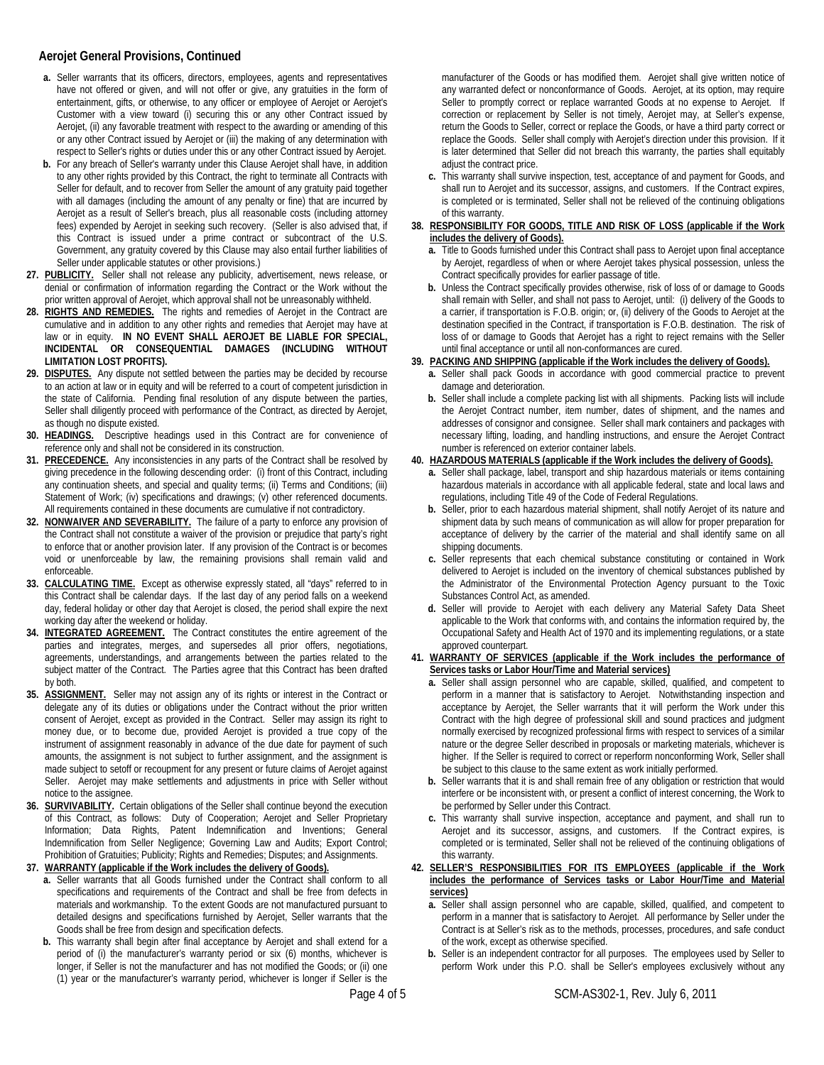# **Aerojet General Provisions, Continued**

- **a.** Seller warrants that its officers, directors, employees, agents and representatives have not offered or given, and will not offer or give, any gratuities in the form of entertainment, gifts, or otherwise, to any officer or employee of Aerojet or Aerojet's Customer with a view toward (i) securing this or any other Contract issued by Aerojet, (ii) any favorable treatment with respect to the awarding or amending of this or any other Contract issued by Aerojet or (iii) the making of any determination with respect to Seller's rights or duties under this or any other Contract issued by Aerojet.
- **b.** For any breach of Seller's warranty under this Clause Aerojet shall have, in addition to any other rights provided by this Contract, the right to terminate all Contracts with Seller for default, and to recover from Seller the amount of any gratuity paid together with all damages (including the amount of any penalty or fine) that are incurred by Aerojet as a result of Seller's breach, plus all reasonable costs (including attorney fees) expended by Aerojet in seeking such recovery. (Seller is also advised that, if this Contract is issued under a prime contract or subcontract of the U.S. Government, any gratuity covered by this Clause may also entail further liabilities of Seller under applicable statutes or other provisions.)
- **27. PUBLICITY.** Seller shall not release any publicity, advertisement, news release, or denial or confirmation of information regarding the Contract or the Work without the prior written approval of Aerojet, which approval shall not be unreasonably withheld.
- **28. RIGHTS AND REMEDIES.** The rights and remedies of Aerojet in the Contract are cumulative and in addition to any other rights and remedies that Aerojet may have at law or in equity. **IN NO EVENT SHALL AEROJET BE LIABLE FOR SPECIAL, INCIDENTAL OR CONSEQUENTIAL DAMAGES (INCLUDING WITHOUT LIMITATION LOST PROFITS).**
- **29. DISPUTES.** Any dispute not settled between the parties may be decided by recourse to an action at law or in equity and will be referred to a court of competent jurisdiction in the state of California. Pending final resolution of any dispute between the parties, Seller shall diligently proceed with performance of the Contract, as directed by Aerojet, as though no dispute existed.
- **30. HEADINGS.** Descriptive headings used in this Contract are for convenience of reference only and shall not be considered in its construction.
- **31. PRECEDENCE.** Any inconsistencies in any parts of the Contract shall be resolved by giving precedence in the following descending order: (i) front of this Contract, including any continuation sheets, and special and quality terms; (ii) Terms and Conditions; (iii) Statement of Work; (iv) specifications and drawings; (v) other referenced documents. All requirements contained in these documents are cumulative if not contradictory.
- **32. NONWAIVER AND SEVERABILITY.** The failure of a party to enforce any provision of the Contract shall not constitute a waiver of the provision or prejudice that party's right to enforce that or another provision later. If any provision of the Contract is or becomes void or unenforceable by law, the remaining provisions shall remain valid and enforceable.
- **33. CALCULATING TIME.** Except as otherwise expressly stated, all "days" referred to in this Contract shall be calendar days. If the last day of any period falls on a weekend day, federal holiday or other day that Aerojet is closed, the period shall expire the next working day after the weekend or holiday.
- **34. INTEGRATED AGREEMENT.** The Contract constitutes the entire agreement of the parties and integrates, merges, and supersedes all prior offers, negotiations, agreements, understandings, and arrangements between the parties related to the subject matter of the Contract. The Parties agree that this Contract has been drafted by both.
- **35. ASSIGNMENT.** Seller may not assign any of its rights or interest in the Contract or delegate any of its duties or obligations under the Contract without the prior written consent of Aerojet, except as provided in the Contract. Seller may assign its right to money due, or to become due, provided Aerojet is provided a true copy of the instrument of assignment reasonably in advance of the due date for payment of such amounts, the assignment is not subject to further assignment, and the assignment is made subject to setoff or recoupment for any present or future claims of Aerojet against Seller. Aerojet may make settlements and adjustments in price with Seller without notice to the assignee.
- **36. SURVIVABILITY.** Certain obligations of the Seller shall continue beyond the execution of this Contract, as follows: Duty of Cooperation; Aerojet and Seller Proprietary Information; Data Rights, Patent Indemnification and Inventions; General Indemnification from Seller Negligence; Governing Law and Audits; Export Control; Prohibition of Gratuities; Publicity; Rights and Remedies; Disputes; and Assignments. **37. WARRANTY (applicable if the Work includes the delivery of Goods).**
- **a.** Seller warrants that all Goods furnished under the Contract shall conform to all specifications and requirements of the Contract and shall be free from defects in materials and workmanship. To the extent Goods are not manufactured pursuant to detailed designs and specifications furnished by Aerojet, Seller warrants that the Goods shall be free from design and specification defects.
	- **b.** This warranty shall begin after final acceptance by Aerojet and shall extend for a period of (i) the manufacturer's warranty period or six (6) months, whichever is longer, if Seller is not the manufacturer and has not modified the Goods; or (ii) one (1) year or the manufacturer's warranty period, whichever is longer if Seller is the

**c.** This warranty shall survive inspection, test, acceptance of and payment for Goods, and shall run to Aerojet and its successor, assigns, and customers. If the Contract expires, is completed or is terminated, Seller shall not be relieved of the continuing obligations of this warranty.

### **38. RESPONSIBILITY FOR GOODS, TITLE AND RISK OF LOSS (applicable if the Work includes the delivery of Goods).**

- **a.** Title to Goods furnished under this Contract shall pass to Aerojet upon final acceptance by Aerojet, regardless of when or where Aerojet takes physical possession, unless the Contract specifically provides for earlier passage of title.
- **b.** Unless the Contract specifically provides otherwise, risk of loss of or damage to Goods shall remain with Seller, and shall not pass to Aerojet, until: (i) delivery of the Goods to a carrier, if transportation is F.O.B. origin; or, (ii) delivery of the Goods to Aerojet at the destination specified in the Contract, if transportation is F.O.B. destination. The risk of loss of or damage to Goods that Aerojet has a right to reject remains with the Seller until final acceptance or until all non-conformances are cured.

## **39. PACKING AND SHIPPING (applicable if the Work includes the delivery of Goods).**

- **a.** Seller shall pack Goods in accordance with good commercial practice to prevent damage and deterioration.
- **b.** Seller shall include a complete packing list with all shipments. Packing lists will include the Aerojet Contract number, item number, dates of shipment, and the names and addresses of consignor and consignee. Seller shall mark containers and packages with necessary lifting, loading, and handling instructions, and ensure the Aerojet Contract number is referenced on exterior container labels.

# **40. HAZARDOUS MATERIALS (applicable if the Work includes the delivery of Goods).**

- **a.** Seller shall package, label, transport and ship hazardous materials or items containing hazardous materials in accordance with all applicable federal, state and local laws and regulations, including Title 49 of the Code of Federal Regulations.
- **b.** Seller, prior to each hazardous material shipment, shall notify Aerojet of its nature and shipment data by such means of communication as will allow for proper preparation for acceptance of delivery by the carrier of the material and shall identify same on all shipping documents.
- **c.** Seller represents that each chemical substance constituting or contained in Work delivered to Aerojet is included on the inventory of chemical substances published by the Administrator of the Environmental Protection Agency pursuant to the Toxic Substances Control Act, as amended.
- **d.** Seller will provide to Aerojet with each delivery any Material Safety Data Sheet applicable to the Work that conforms with, and contains the information required by, the Occupational Safety and Health Act of 1970 and its implementing regulations, or a state approved counterpart.

#### **41. WARRANTY OF SERVICES (applicable if the Work includes the performance of Services tasks or Labor Hour/Time and Material services)**

- **a.** Seller shall assign personnel who are capable, skilled, qualified, and competent to perform in a manner that is satisfactory to Aerojet. Notwithstanding inspection and acceptance by Aerojet, the Seller warrants that it will perform the Work under this Contract with the high degree of professional skill and sound practices and judgment normally exercised by recognized professional firms with respect to services of a similar nature or the degree Seller described in proposals or marketing materials, whichever is higher. If the Seller is required to correct or reperform nonconforming Work, Seller shall be subject to this clause to the same extent as work initially performed.
- **b.** Seller warrants that it is and shall remain free of any obligation or restriction that would interfere or be inconsistent with, or present a conflict of interest concerning, the Work to be performed by Seller under this Contract.
- **c.** This warranty shall survive inspection, acceptance and payment, and shall run to Aerojet and its successor, assigns, and customers. If the Contract expires, is completed or is terminated, Seller shall not be relieved of the continuing obligations of this warranty.
- **42. SELLER'S RESPONSIBILITIES FOR ITS EMPLOYEES (applicable if the Work includes the performance of Services tasks or Labor Hour/Time and Material services)**
	- **a.** Seller shall assign personnel who are capable, skilled, qualified, and competent to perform in a manner that is satisfactory to Aerojet. All performance by Seller under the Contract is at Seller's risk as to the methods, processes, procedures, and safe conduct of the work, except as otherwise specified.
	- **b.** Seller is an independent contractor for all purposes. The employees used by Seller to perform Work under this P.O. shall be Seller's employees exclusively without any